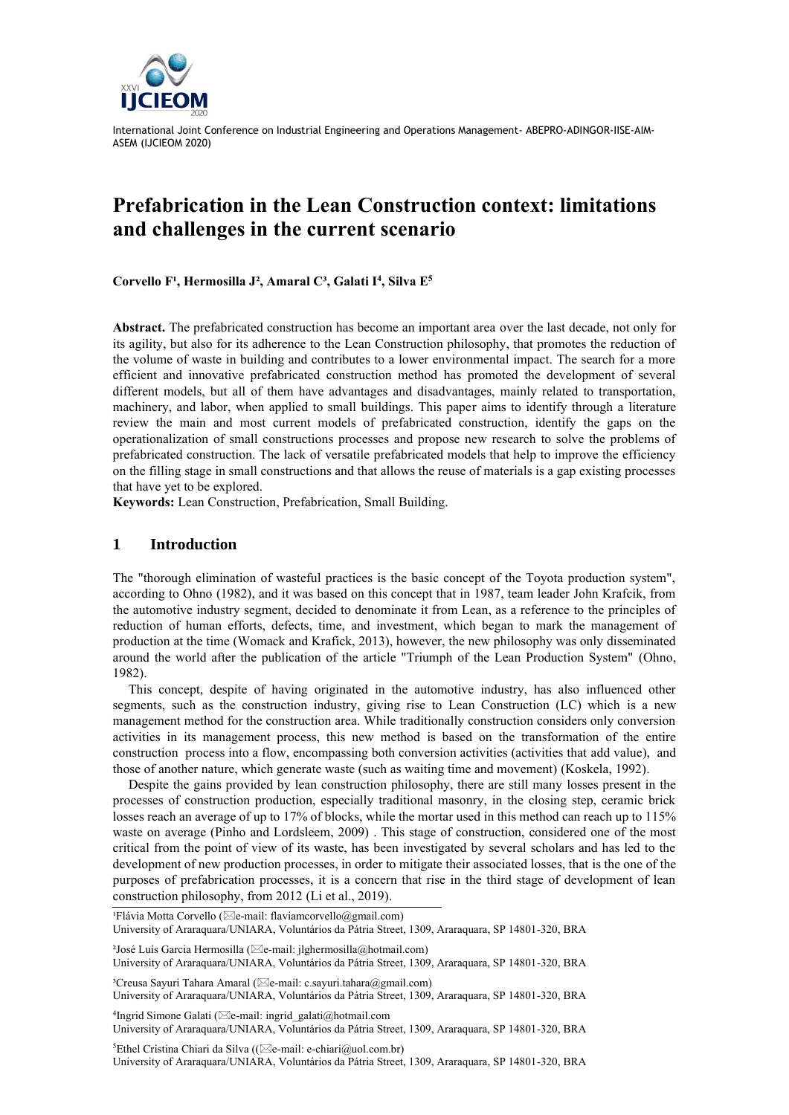

# **Prefabrication in the Lean Construction context: limitations and challenges in the current scenario**

Corvello F<sup>1</sup>, Hermosilla J<sup>2</sup>, Amaral C<sup>3</sup>, Galati I<sup>4</sup>, Silva E<sup>5</sup>

**Abstract.** The prefabricated construction has become an important area over the last decade, not only for its agility, but also for its adherence to the Lean Construction philosophy, that promotes the reduction of the volume of waste in building and contributes to a lower environmental impact. The search for a more efficient and innovative prefabricated construction method has promoted the development of several different models, but all of them have advantages and disadvantages, mainly related to transportation, machinery, and labor, when applied to small buildings. This paper aims to identify through a literature review the main and most current models of prefabricated construction, identify the gaps on the operationalization of small constructions processes and propose new research to solve the problems of prefabricated construction. The lack of versatile prefabricated models that help to improve the efficiency on the filling stage in small constructions and that allows the reuse of materials is a gap existing processes that have yet to be explored.

**Keywords:** Lean Construction, Prefabrication, Small Building.

#### **1 Introduction**

The "thorough elimination of wasteful practices is the basic concept of the Toyota production system", according to Ohno (1982), and it was based on this concept that in 1987, team leader John Krafcik, from the automotive industry segment, decided to denominate it from Lean, as a reference to the principles of reduction of human efforts, defects, time, and investment, which began to mark the management of production at the time (Womack and Krafick, 2013), however, the new philosophy was only disseminated around the world after the publication of the article "Triumph of the Lean Production System" (Ohno, 1982).

This concept, despite of having originated in the automotive industry, has also influenced other segments, such as the construction industry, giving rise to Lean Construction (LC) which is a new management method for the construction area. While traditionally construction considers only conversion activities in its management process, this new method is based on the transformation of the entire construction process into a flow, encompassing both conversion activities (activities that add value), and those of another nature, which generate waste (such as waiting time and movement) (Koskela, 1992).

Despite the gains provided by lean construction philosophy, there are still many losses present in the processes of construction production, especially traditional masonry, in the closing step, ceramic brick losses reach an average of up to 17% of blocks, while the mortar used in this method can reach up to 115% waste on average (Pinho and Lordsleem, 2009) . This stage of construction, considered one of the most critical from the point of view of its waste, has been investigated by several scholars and has led to the development of new production processes, in order to mitigate their associated losses, that is the one of the purposes of prefabrication processes, it is a concern that rise in the third stage of development of lean construction philosophy, from 2012 (Li et al., 2019).

<sup>2</sup>José Luís Garcia Hermosilla ( $\boxtimes$ e-mail: jlghermosilla@hotmail.com) University of Araraquara/UNIARA, Voluntários da Pátria Street, 1309, Araraquara, SP 14801-320, BRA

<sup>3</sup>Creusa Sayuri Tahara Amaral ( $\boxtimes$ e-mail: c.sayuri.tahara@gmail.com) University of Araraquara/UNIARA, Voluntários da Pátria Street, 1309, Araraquara, SP 14801-320, BRA

<sup>4</sup>Ingrid Simone Galati (⊠e-mail[: ingrid\\_galati@hotmail.com](mailto:ingrid_galati@hotmail.com) University of Araraquara/UNIARA, Voluntários da Pátria Street, 1309, Araraquara, SP 14801-320, BRA

<sup>5</sup>Ethel Cristina Chiari da Silva (( $\boxtimes$ e-mail[: e-chiari@uol.com.br\)](mailto:e-chiari@uol.com.br) University of Araraquara/UNIARA, Voluntários da Pátria Street, 1309, Araraquara, SP 14801-320, BRA

<sup>&</sup>lt;sup>1</sup>Flávia Motta Corvello ( $\boxtimes$ e-mail: [flaviamcorvello@gmail.com\)](mailto:flaviamcorvello@gmail.com) University of Araraquara/UNIARA, Voluntários da Pátria Street, 1309, Araraquara, SP 14801-320, BRA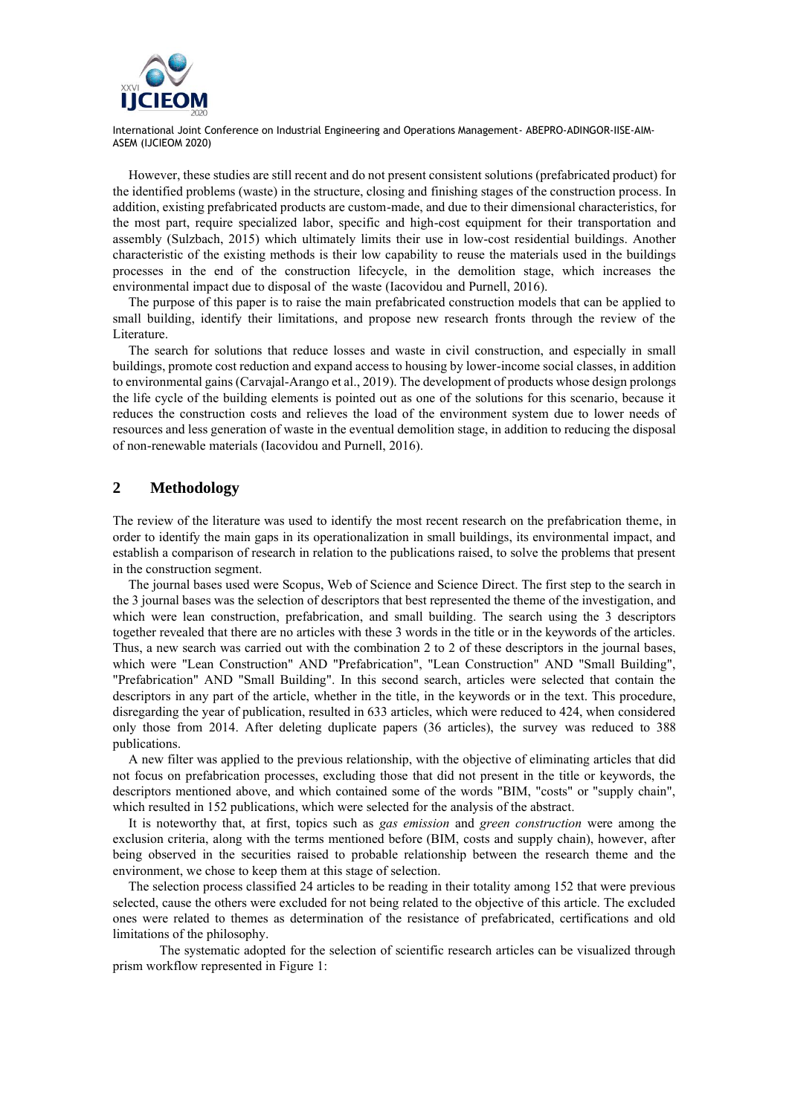

However, these studies are still recent and do not present consistent solutions (prefabricated product) for the identified problems (waste) in the structure, closing and finishing stages of the construction process. In addition, existing prefabricated products are custom-made, and due to their dimensional characteristics, for the most part, require specialized labor, specific and high-cost equipment for their transportation and assembly (Sulzbach, 2015) which ultimately limits their use in low-cost residential buildings. Another characteristic of the existing methods is their low capability to reuse the materials used in the buildings processes in the end of the construction lifecycle, in the demolition stage, which increases the environmental impact due to disposal of the waste (Iacovidou and Purnell, 2016).

The purpose of this paper is to raise the main prefabricated construction models that can be applied to small building, identify their limitations, and propose new research fronts through the review of the Literature.

The search for solutions that reduce losses and waste in civil construction, and especially in small buildings, promote cost reduction and expand access to housing by lower-income social classes, in addition to environmental gains (Carvajal-Arango et al., 2019). The development of products whose design prolongs the life cycle of the building elements is pointed out as one of the solutions for this scenario, because it reduces the construction costs and relieves the load of the environment system due to lower needs of resources and less generation of waste in the eventual demolition stage, in addition to reducing the disposal of non-renewable materials (Iacovidou and Purnell, 2016).

## **2 Methodology**

The review of the literature was used to identify the most recent research on the prefabrication theme, in order to identify the main gaps in its operationalization in small buildings, its environmental impact, and establish a comparison of research in relation to the publications raised, to solve the problems that present in the construction segment.

The journal bases used were Scopus, Web of Science and Science Direct. The first step to the search in the 3 journal bases was the selection of descriptors that best represented the theme of the investigation, and which were lean construction, prefabrication, and small building. The search using the 3 descriptors together revealed that there are no articles with these 3 words in the title or in the keywords of the articles. Thus, a new search was carried out with the combination 2 to 2 of these descriptors in the journal bases, which were "Lean Construction" AND "Prefabrication", "Lean Construction" AND "Small Building", "Prefabrication" AND "Small Building". In this second search, articles were selected that contain the descriptors in any part of the article, whether in the title, in the keywords or in the text. This procedure, disregarding the year of publication, resulted in 633 articles, which were reduced to 424, when considered only those from 2014. After deleting duplicate papers (36 articles), the survey was reduced to 388 publications.

A new filter was applied to the previous relationship, with the objective of eliminating articles that did not focus on prefabrication processes, excluding those that did not present in the title or keywords, the descriptors mentioned above, and which contained some of the words "BIM, "costs" or "supply chain", which resulted in 152 publications, which were selected for the analysis of the abstract.

It is noteworthy that, at first, topics such as *gas emission* and *green construction* were among the exclusion criteria, along with the terms mentioned before (BIM, costs and supply chain), however, after being observed in the securities raised to probable relationship between the research theme and the environment, we chose to keep them at this stage of selection.

The selection process classified 24 articles to be reading in their totality among 152 that were previous selected, cause the others were excluded for not being related to the objective of this article. The excluded ones were related to themes as determination of the resistance of prefabricated, certifications and old limitations of the philosophy.

The systematic adopted for the selection of scientific research articles can be visualized through prism workflow represented in Figure 1: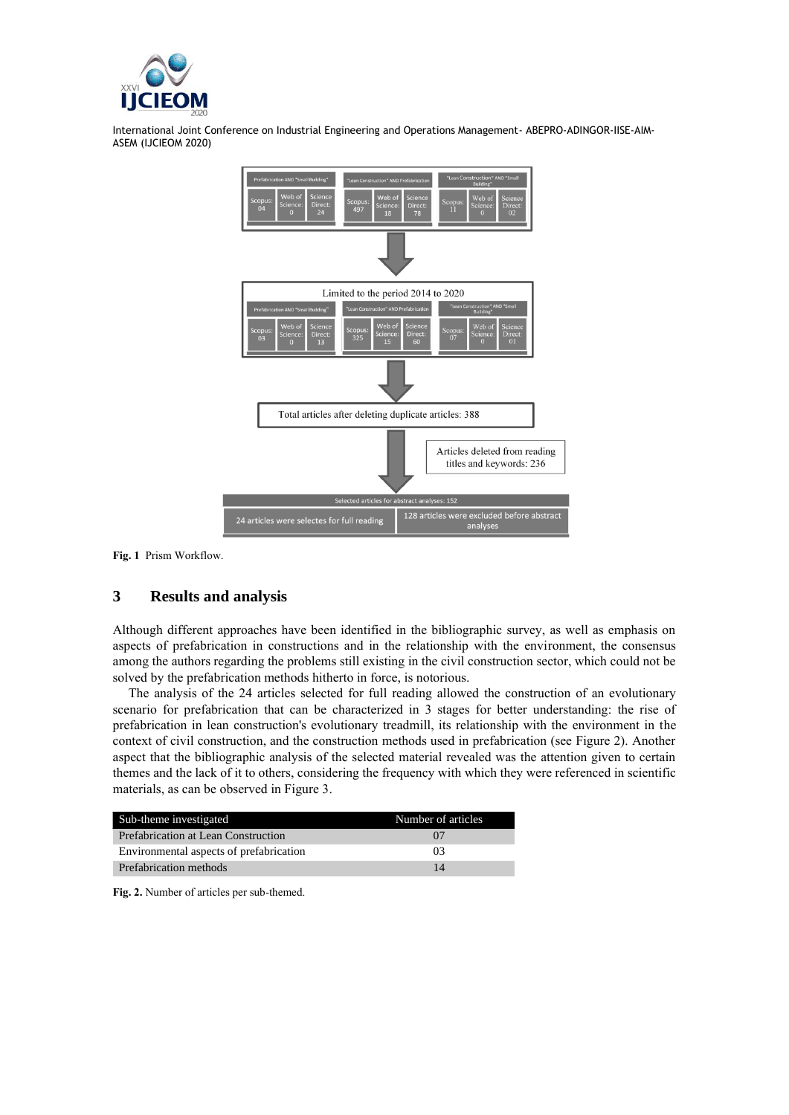



**Fig. 1** Prism Workflow.

## **3 Results and analysis**

Although different approaches have been identified in the bibliographic survey, as well as emphasis on aspects of prefabrication in constructions and in the relationship with the environment, the consensus among the authors regarding the problems still existing in the civil construction sector, which could not be solved by the prefabrication methods hitherto in force, is notorious.

The analysis of the 24 articles selected for full reading allowed the construction of an evolutionary scenario for prefabrication that can be characterized in 3 stages for better understanding: the rise of prefabrication in lean construction's evolutionary treadmill, its relationship with the environment in the context of civil construction, and the construction methods used in prefabrication (see Figure 2). Another aspect that the bibliographic analysis of the selected material revealed was the attention given to certain themes and the lack of it to others, considering the frequency with which they were referenced in scientific materials, as can be observed in Figure 3.

| Sub-theme investigated                  | Number of articles |
|-----------------------------------------|--------------------|
| Prefabrication at Lean Construction     | $\Omega$           |
| Environmental aspects of prefabrication | 03                 |
| Prefabrication methods                  | 14                 |

**Fig. 2.** Number of articles per sub-themed.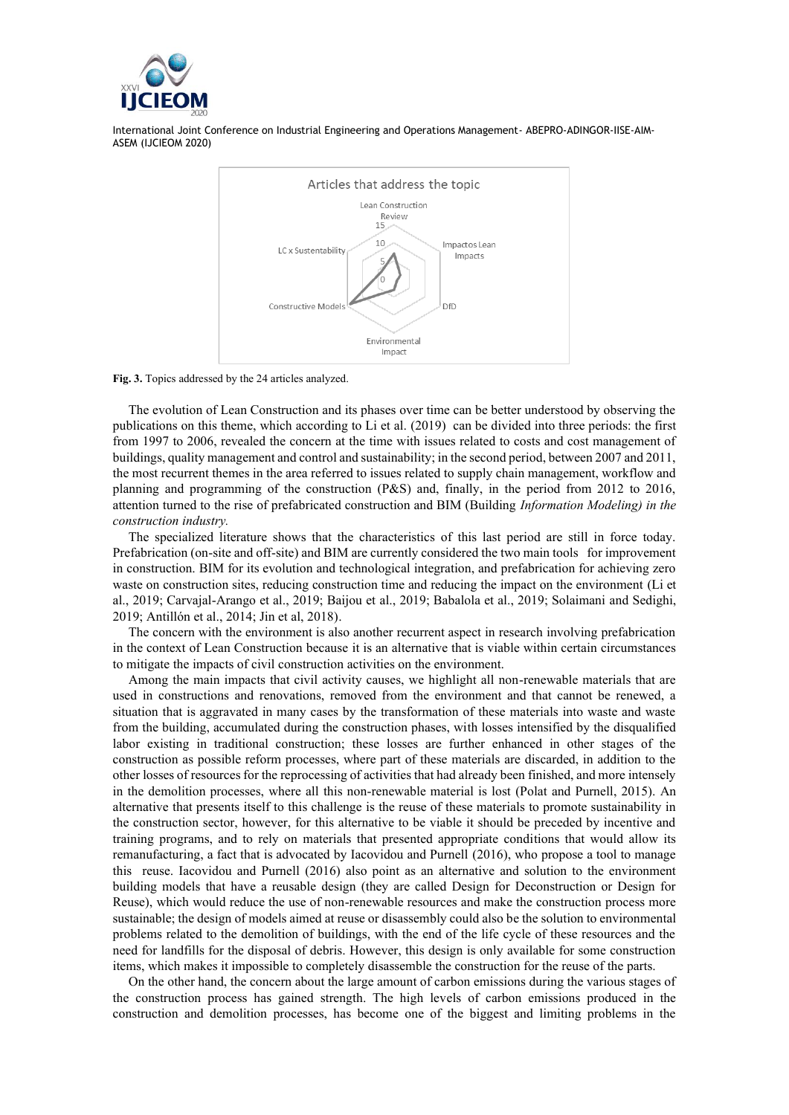



**Fig. 3.** Topics addressed by the 24 articles analyzed.

The evolution of Lean Construction and its phases over time can be better understood by observing the publications on this theme, which according to Li et al. (2019) can be divided into three periods: the first from 1997 to 2006, revealed the concern at the time with issues related to costs and cost management of buildings, quality management and control and sustainability; in the second period, between 2007 and 2011, the most recurrent themes in the area referred to issues related to supply chain management, workflow and planning and programming of the construction (P&S) and, finally, in the period from 2012 to 2016, attention turned to the rise of prefabricated construction and BIM (Building *Information Modeling) in the construction industry.*

The specialized literature shows that the characteristics of this last period are still in force today. Prefabrication (on-site and off-site) and BIM are currently considered the two main tools for improvement in construction. BIM for its evolution and technological integration, and prefabrication for achieving zero waste on construction sites, reducing construction time and reducing the impact on the environment (Li et al., 2019; Carvajal-Arango et al., 2019; Baijou et al., 2019; Babalola et al., 2019; Solaimani and Sedighi, 2019; Antillón et al., 2014; Jin et al, 2018).

The concern with the environment is also another recurrent aspect in research involving prefabrication in the context of Lean Construction because it is an alternative that is viable within certain circumstances to mitigate the impacts of civil construction activities on the environment.

Among the main impacts that civil activity causes, we highlight all non-renewable materials that are used in constructions and renovations, removed from the environment and that cannot be renewed, a situation that is aggravated in many cases by the transformation of these materials into waste and waste from the building, accumulated during the construction phases, with losses intensified by the disqualified labor existing in traditional construction; these losses are further enhanced in other stages of the construction as possible reform processes, where part of these materials are discarded, in addition to the other losses of resources for the reprocessing of activities that had already been finished, and more intensely in the demolition processes, where all this non-renewable material is lost (Polat and Purnell, 2015). An alternative that presents itself to this challenge is the reuse of these materials to promote sustainability in the construction sector, however, for this alternative to be viable it should be preceded by incentive and training programs, and to rely on materials that presented appropriate conditions that would allow its remanufacturing, a fact that is advocated by Iacovidou and Purnell (2016), who propose a tool to manage this reuse. Iacovidou and Purnell (2016) also point as an alternative and solution to the environment building models that have a reusable design (they are called Design for Deconstruction or Design for Reuse), which would reduce the use of non-renewable resources and make the construction process more sustainable; the design of models aimed at reuse or disassembly could also be the solution to environmental problems related to the demolition of buildings, with the end of the life cycle of these resources and the need for landfills for the disposal of debris. However, this design is only available for some construction items, which makes it impossible to completely disassemble the construction for the reuse of the parts.

On the other hand, the concern about the large amount of carbon emissions during the various stages of the construction process has gained strength. The high levels of carbon emissions produced in the construction and demolition processes, has become one of the biggest and limiting problems in the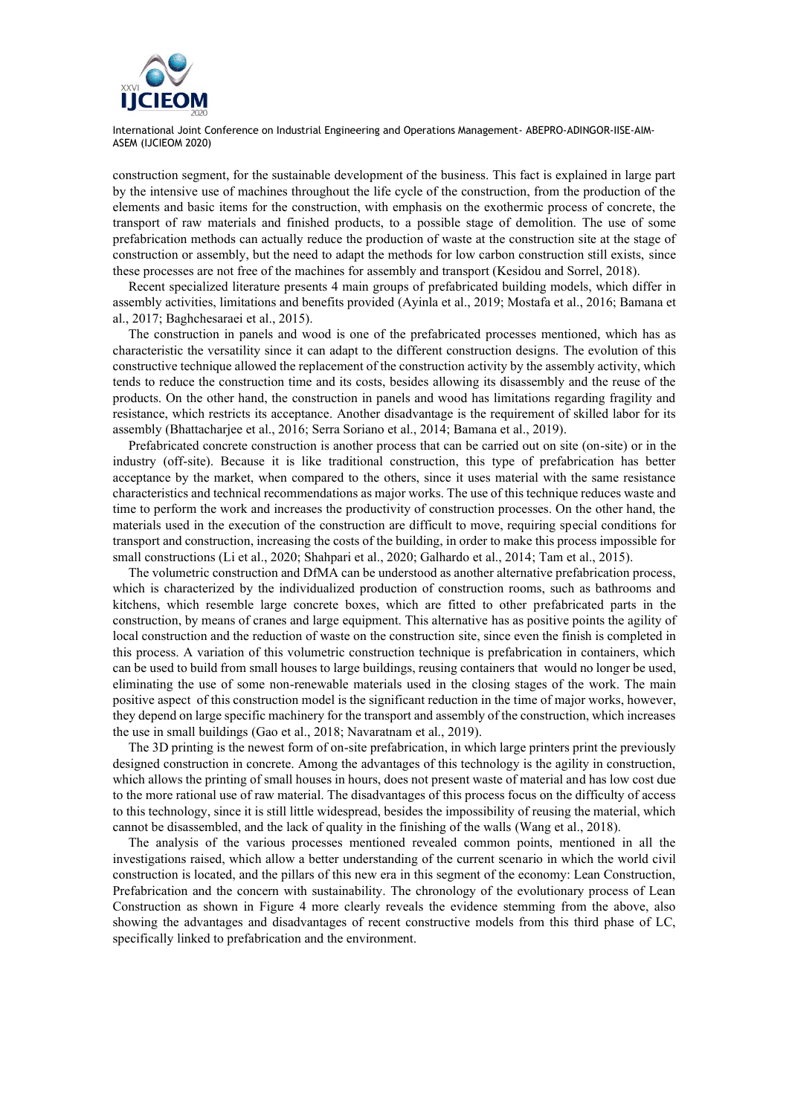

construction segment, for the sustainable development of the business. This fact is explained in large part by the intensive use of machines throughout the life cycle of the construction, from the production of the elements and basic items for the construction, with emphasis on the exothermic process of concrete, the transport of raw materials and finished products, to a possible stage of demolition. The use of some prefabrication methods can actually reduce the production of waste at the construction site at the stage of construction or assembly, but the need to adapt the methods for low carbon construction still exists, since these processes are not free of the machines for assembly and transport (Kesidou and Sorrel, 2018).

Recent specialized literature presents 4 main groups of prefabricated building models, which differ in assembly activities, limitations and benefits provided (Ayinla et al., 2019; Mostafa et al., 2016; Bamana et al., 2017; Baghchesaraei et al., 2015).

The construction in panels and wood is one of the prefabricated processes mentioned, which has as characteristic the versatility since it can adapt to the different construction designs. The evolution of this constructive technique allowed the replacement of the construction activity by the assembly activity, which tends to reduce the construction time and its costs, besides allowing its disassembly and the reuse of the products. On the other hand, the construction in panels and wood has limitations regarding fragility and resistance, which restricts its acceptance. Another disadvantage is the requirement of skilled labor for its assembly (Bhattacharjee et al., 2016; Serra Soriano et al., 2014; Bamana et al., 2019).

Prefabricated concrete construction is another process that can be carried out on site (on-site) or in the industry (off-site). Because it is like traditional construction, this type of prefabrication has better acceptance by the market, when compared to the others, since it uses material with the same resistance characteristics and technical recommendations as major works. The use of this technique reduces waste and time to perform the work and increases the productivity of construction processes. On the other hand, the materials used in the execution of the construction are difficult to move, requiring special conditions for transport and construction, increasing the costs of the building, in order to make this process impossible for small constructions (Li et al., 2020; Shahpari et al., 2020; Galhardo et al., 2014; Tam et al., 2015).

The volumetric construction and DfMA can be understood as another alternative prefabrication process, which is characterized by the individualized production of construction rooms, such as bathrooms and kitchens, which resemble large concrete boxes, which are fitted to other prefabricated parts in the construction, by means of cranes and large equipment. This alternative has as positive points the agility of local construction and the reduction of waste on the construction site, since even the finish is completed in this process. A variation of this volumetric construction technique is prefabrication in containers, which can be used to build from small houses to large buildings, reusing containers that would no longer be used, eliminating the use of some non-renewable materials used in the closing stages of the work. The main positive aspect of this construction model is the significant reduction in the time of major works, however, they depend on large specific machinery for the transport and assembly of the construction, which increases the use in small buildings (Gao et al., 2018; Navaratnam et al., 2019).

The 3D printing is the newest form of on-site prefabrication, in which large printers print the previously designed construction in concrete. Among the advantages of this technology is the agility in construction, which allows the printing of small houses in hours, does not present waste of material and has low cost due to the more rational use of raw material. The disadvantages of this process focus on the difficulty of access to this technology, since it is still little widespread, besides the impossibility of reusing the material, which cannot be disassembled, and the lack of quality in the finishing of the walls (Wang et al., 2018).

The analysis of the various processes mentioned revealed common points, mentioned in all the investigations raised, which allow a better understanding of the current scenario in which the world civil construction is located, and the pillars of this new era in this segment of the economy: Lean Construction, Prefabrication and the concern with sustainability. The chronology of the evolutionary process of Lean Construction as shown in Figure 4 more clearly reveals the evidence stemming from the above, also showing the advantages and disadvantages of recent constructive models from this third phase of LC, specifically linked to prefabrication and the environment.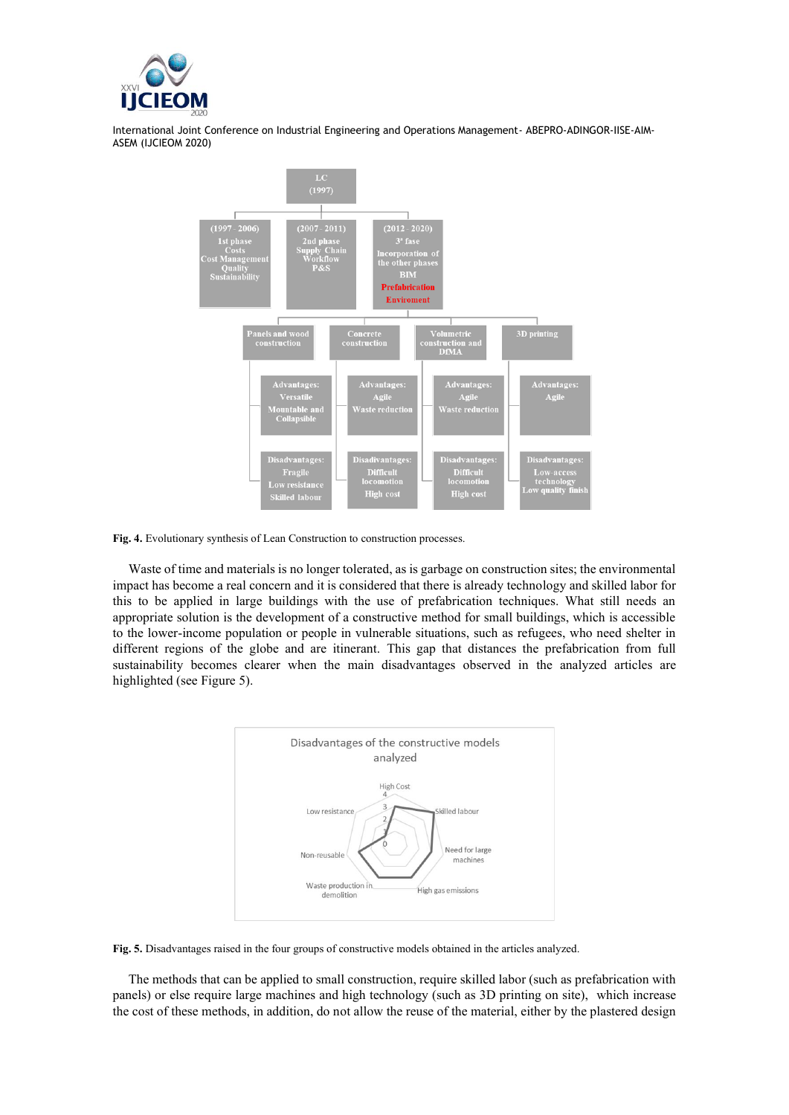



Fig. 4. Evolutionary synthesis of Lean Construction to construction processes.

Waste of time and materials is no longer tolerated, as is garbage on construction sites; the environmental impact has become a real concern and it is considered that there is already technology and skilled labor for this to be applied in large buildings with the use of prefabrication techniques. What still needs an appropriate solution is the development of a constructive method for small buildings, which is accessible to the lower-income population or people in vulnerable situations, such as refugees, who need shelter in different regions of the globe and are itinerant. This gap that distances the prefabrication from full sustainability becomes clearer when the main disadvantages observed in the analyzed articles are highlighted (see Figure 5).



**Fig. 5.** Disadvantages raised in the four groups of constructive models obtained in the articles analyzed.

The methods that can be applied to small construction, require skilled labor (such as prefabrication with panels) or else require large machines and high technology (such as 3D printing on site), which increase the cost of these methods, in addition, do not allow the reuse of the material, either by the plastered design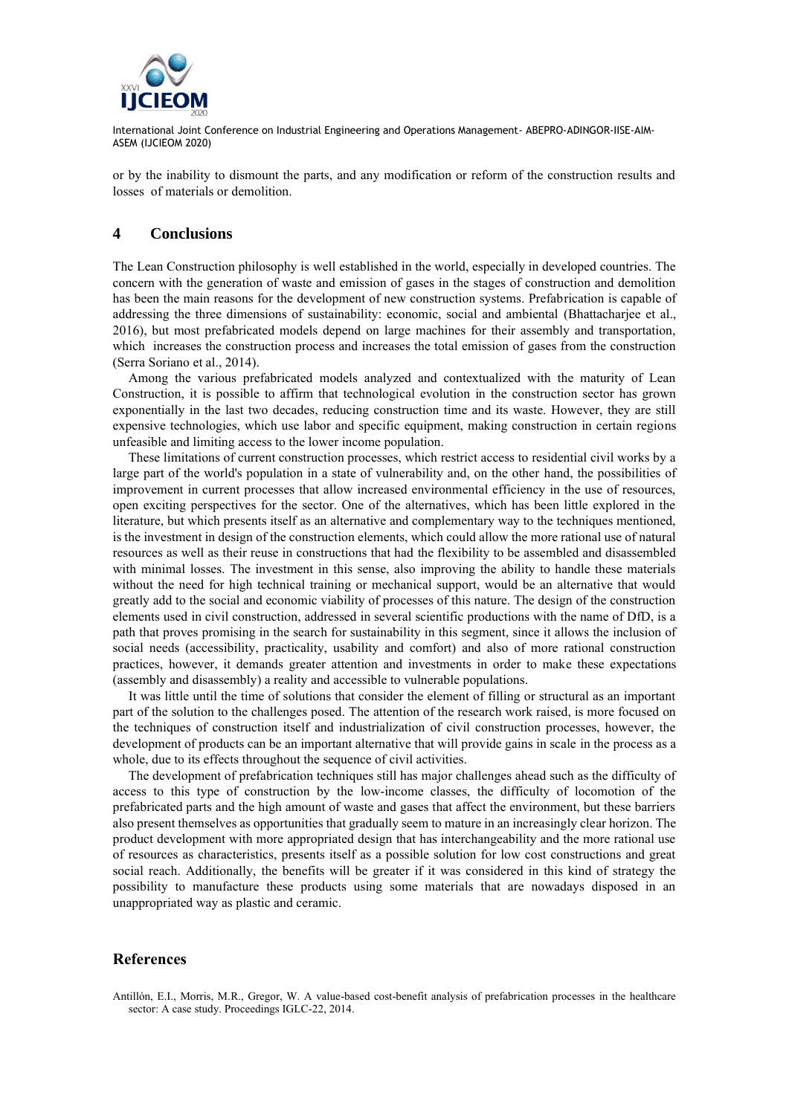

or by the inability to dismount the parts, and any modification or reform of the construction results and losses of materials or demolition.

#### **4 Conclusions**

The Lean Construction philosophy is well established in the world, especially in developed countries. The concern with the generation of waste and emission of gases in the stages of construction and demolition has been the main reasons for the development of new construction systems. Prefabrication is capable of addressing the three dimensions of sustainability: economic, social and ambiental (Bhattacharjee et al., 2016), but most prefabricated models depend on large machines for their assembly and transportation, which increases the construction process and increases the total emission of gases from the construction (Serra Soriano et al., 2014).

Among the various prefabricated models analyzed and contextualized with the maturity of Lean Construction, it is possible to affirm that technological evolution in the construction sector has grown exponentially in the last two decades, reducing construction time and its waste. However, they are still expensive technologies, which use labor and specific equipment, making construction in certain regions unfeasible and limiting access to the lower income population.

These limitations of current construction processes, which restrict access to residential civil works by a large part of the world's population in a state of vulnerability and, on the other hand, the possibilities of improvement in current processes that allow increased environmental efficiency in the use of resources, open exciting perspectives for the sector. One of the alternatives, which has been little explored in the literature, but which presents itself as an alternative and complementary way to the techniques mentioned, is the investment in design of the construction elements, which could allow the more rational use of natural resources as well as their reuse in constructions that had the flexibility to be assembled and disassembled with minimal losses. The investment in this sense, also improving the ability to handle these materials without the need for high technical training or mechanical support, would be an alternative that would greatly add to the social and economic viability of processes of this nature. The design of the construction elements used in civil construction, addressed in several scientific productions with the name of DfD, is a path that proves promising in the search for sustainability in this segment, since it allows the inclusion of social needs (accessibility, practicality, usability and comfort) and also of more rational construction practices, however, it demands greater attention and investments in order to make these expectations (assembly and disassembly) a reality and accessible to vulnerable populations.

It was little until the time of solutions that consider the element of filling or structural as an important part of the solution to the challenges posed. The attention of the research work raised, is more focused on the techniques of construction itself and industrialization of civil construction processes, however, the development of products can be an important alternative that will provide gains in scale in the process as a whole, due to its effects throughout the sequence of civil activities.

The development of prefabrication techniques still has major challenges ahead such as the difficulty of access to this type of construction by the low-income classes, the difficulty of locomotion of the prefabricated parts and the high amount of waste and gases that affect the environment, but these barriers also present themselves as opportunities that gradually seem to mature in an increasingly clear horizon. The product development with more appropriated design that has interchangeability and the more rational use of resources as characteristics, presents itself as a possible solution for low cost constructions and great social reach. Additionally, the benefits will be greater if it was considered in this kind of strategy the possibility to manufacture these products using some materials that are nowadays disposed in an unappropriated way as plastic and ceramic.

#### **References**

Antillón, E.I., Morris, M.R., Gregor, W. A value-based cost-benefit analysis of prefabrication processes in the healthcare sector: A case study. Proceedings IGLC-22, 2014.